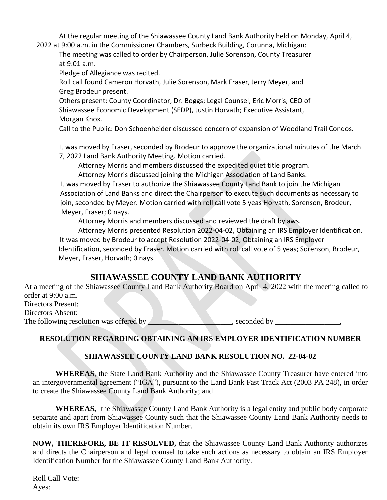At the regular meeting of the Shiawassee County Land Bank Authority held on Monday, April 4,

2022 at 9:00 a.m. in the Commissioner Chambers, Surbeck Building, Corunna, Michigan: The meeting was called to order by Chairperson, Julie Sorenson, County Treasurer at 9:01 a.m.

Pledge of Allegiance was recited.

Roll call found Cameron Horvath, Julie Sorenson, Mark Fraser, Jerry Meyer, and Greg Brodeur present.

Others present: County Coordinator, Dr. Boggs; Legal Counsel, Eric Morris; CEO of Shiawassee Economic Development (SEDP), Justin Horvath; Executive Assistant, Morgan Knox.

Call to the Public: Don Schoenheider discussed concern of expansion of Woodland Trail Condos.

It was moved by Fraser, seconded by Brodeur to approve the organizational minutes of the March 7, 2022 Land Bank Authority Meeting. Motion carried.

 Attorney Morris and members discussed the expedited quiet title program. Attorney Morris discussed joining the Michigan Association of Land Banks.

It was moved by Fraser to authorize the Shiawassee County Land Bank to join the Michigan Association of Land Banks and direct the Chairperson to execute such documents as necessary to join, seconded by Meyer. Motion carried with roll call vote 5 yeas Horvath, Sorenson, Brodeur, Meyer, Fraser; 0 nays.

Attorney Morris and members discussed and reviewed the draft bylaws.

Attorney Morris presented Resolution 2022-04-02, Obtaining an IRS Employer Identification. It was moved by Brodeur to accept Resolution 2022-04-02, Obtaining an IRS Employer Identification, seconded by Fraser. Motion carried with roll call vote of 5 yeas; Sorenson, Brodeur, Meyer, Fraser, Horvath; 0 nays.

## **SHIAWASSEE COUNTY LAND BANK AUTHORITY**

At a meeting of the Shiawassee County Land Bank Authority Board on April 4, 2022 with the meeting called to order at 9:00 a.m. Directors Present: Directors Absent: The following resolution was offered by \_\_\_\_\_\_\_\_\_\_\_, seconded by \_\_\_\_\_\_\_\_\_\_\_\_\_,

## **RESOLUTION REGARDING OBTAINING AN IRS EMPLOYER IDENTIFICATION NUMBER**

## **SHIAWASSEE COUNTY LAND BANK RESOLUTION NO. 22-04-02**

**WHEREAS**, the State Land Bank Authority and the Shiawassee County Treasurer have entered into an intergovernmental agreement ("IGA"), pursuant to the Land Bank Fast Track Act (2003 PA 248), in order to create the Shiawassee County Land Bank Authority; and

**WHEREAS,** the Shiawassee County Land Bank Authority is a legal entity and public body corporate separate and apart from Shiawassee County such that the Shiawassee County Land Bank Authority needs to obtain its own IRS Employer Identification Number.

**NOW, THEREFORE, BE IT RESOLVED,** that the Shiawassee County Land Bank Authority authorizes and directs the Chairperson and legal counsel to take such actions as necessary to obtain an IRS Employer Identification Number for the Shiawassee County Land Bank Authority.

Roll Call Vote: Ayes: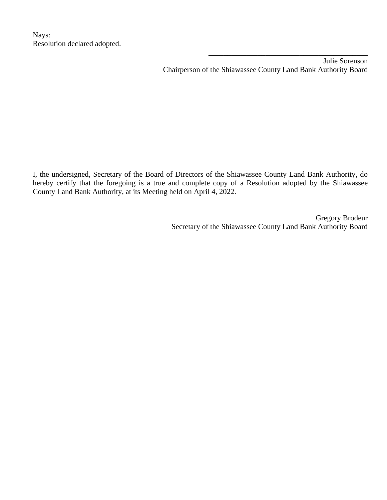Julie Sorenson Chairperson of the Shiawassee County Land Bank Authority Board

\_\_\_\_\_\_\_\_\_\_\_\_\_\_\_\_\_\_\_\_\_\_\_\_\_\_\_\_\_\_\_\_\_\_\_\_\_\_\_\_\_\_

I, the undersigned, Secretary of the Board of Directors of the Shiawassee County Land Bank Authority, do hereby certify that the foregoing is a true and complete copy of a Resolution adopted by the Shiawassee County Land Bank Authority, at its Meeting held on April 4, 2022.

> Gregory Brodeur Secretary of the Shiawassee County Land Bank Authority Board

\_\_\_\_\_\_\_\_\_\_\_\_\_\_\_\_\_\_\_\_\_\_\_\_\_\_\_\_\_\_\_\_\_\_\_\_\_\_\_\_